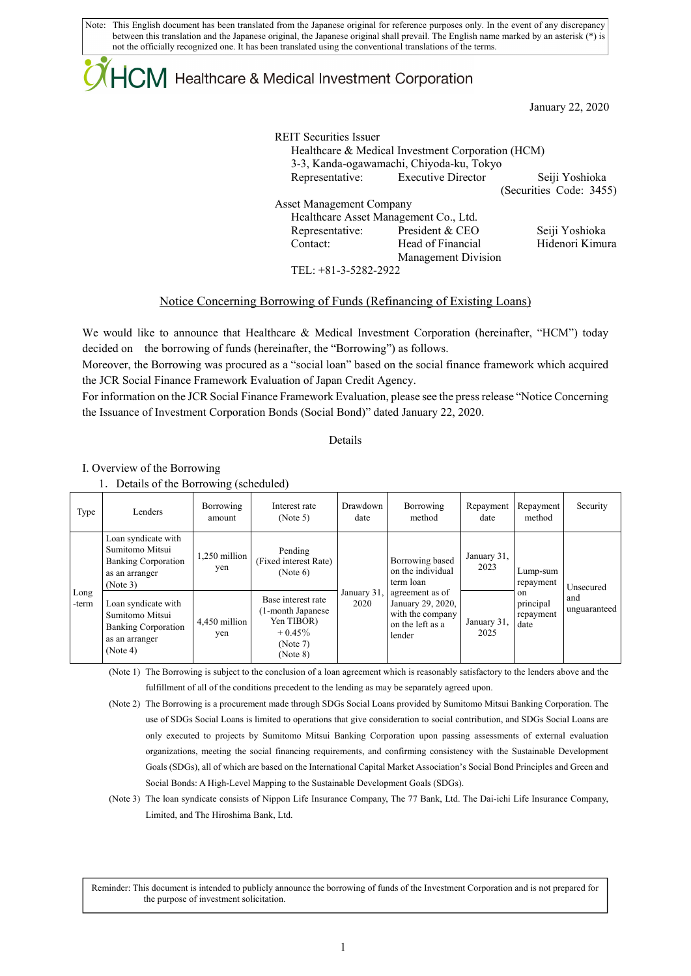Note: This English document has been translated from the Japanese original for reference purposes only. In the event of any discrepancy between this translation and the Japanese original, the Japanese original shall prevail. The English name marked by an asterisk (\*) is not the officially recognized one. It has been translated using the conventional translations of the terms.

## $+C\mathsf{M}$  Healthcare & Medical Investment Corporation

January 22, 2020

REIT Securities Issuer Healthcare & Medical Investment Corporation (HCM) 3-3, Kanda-ogawamachi, Chiyoda-ku, Tokyo Representative: Executive Director Seiji Yoshioka (Securities Code: 3455) Asset Management Company Healthcare Asset Management Co., Ltd. Representative: President & CEO Seiji Yoshioka Contact: Head of Financial Management Division Hidenori Kimura

TEL: +81-3-5282-2922

### Notice Concerning Borrowing of Funds (Refinancing of Existing Loans)

We would like to announce that Healthcare & Medical Investment Corporation (hereinafter, "HCM") today decided on the borrowing of funds (hereinafter, the "Borrowing") as follows.

Moreover, the Borrowing was procured as a "social loan" based on the social finance framework which acquired the JCR Social Finance Framework Evaluation of Japan Credit Agency.

For information on the JCR Social Finance Framework Evaluation, please see the press release "Notice Concerning the Issuance of Investment Corporation Bonds (Social Bond)" dated January 22, 2020.

Details

I. Overview of the Borrowing

1.Details of the Borrowing (scheduled)

| Type          | Lenders                                                                                            | Borrowing<br>amount  | Interest rate<br>(Note 5)                                                                   | Drawdown<br>date    | Borrowing<br>method                                                                    | Repayment<br>date   | Repayment<br>method                                           | Security                         |
|---------------|----------------------------------------------------------------------------------------------------|----------------------|---------------------------------------------------------------------------------------------|---------------------|----------------------------------------------------------------------------------------|---------------------|---------------------------------------------------------------|----------------------------------|
| Long<br>-term | Loan syndicate with<br>Sumitomo Mitsui<br><b>Banking Corporation</b><br>as an arranger<br>(Note 3) | 1.250 million<br>yen | Pending<br>(Fixed interest Rate)<br>(Note 6)                                                | January 31,<br>2020 | Borrowing based<br>on the individual<br>term loan                                      | January 31,<br>2023 | Lump-sum<br>repayment<br>on<br>principal<br>repayment<br>date | Unsecured<br>and<br>unguaranteed |
|               | Loan syndicate with<br>Sumitomo Mitsui<br><b>Banking Corporation</b><br>as an arranger<br>(Note 4) | 4,450 million<br>yen | Base interest rate<br>(1-month Japanese)<br>Yen TIBOR)<br>$+0.45\%$<br>(Note 7)<br>(Note 8) |                     | agreement as of<br>January 29, 2020,<br>with the company<br>on the left as a<br>lender | January 31,<br>2025 |                                                               |                                  |

(Note 1) The Borrowing is subject to the conclusion of a loan agreement which is reasonably satisfactory to the lenders above and the fulfillment of all of the conditions precedent to the lending as may be separately agreed upon.

- (Note 2) The Borrowing is a procurement made through SDGs Social Loans provided by Sumitomo Mitsui Banking Corporation. The use of SDGs Social Loans is limited to operations that give consideration to social contribution, and SDGs Social Loans are only executed to projects by Sumitomo Mitsui Banking Corporation upon passing assessments of external evaluation organizations, meeting the social financing requirements, and confirming consistency with the Sustainable Development Goals (SDGs), all of which are based on the International Capital Market Association's Social Bond Principles and Green and Social Bonds: A High-Level Mapping to the Sustainable Development Goals (SDGs).
- (Note 3) The loan syndicate consists of Nippon Life Insurance Company, The 77 Bank, Ltd. The Dai-ichi Life Insurance Company, Limited, and The Hiroshima Bank, Ltd.

Reminder: This document is intended to publicly announce the borrowing of funds of the Investment Corporation and is not prepared for the purpose of investment solicitation.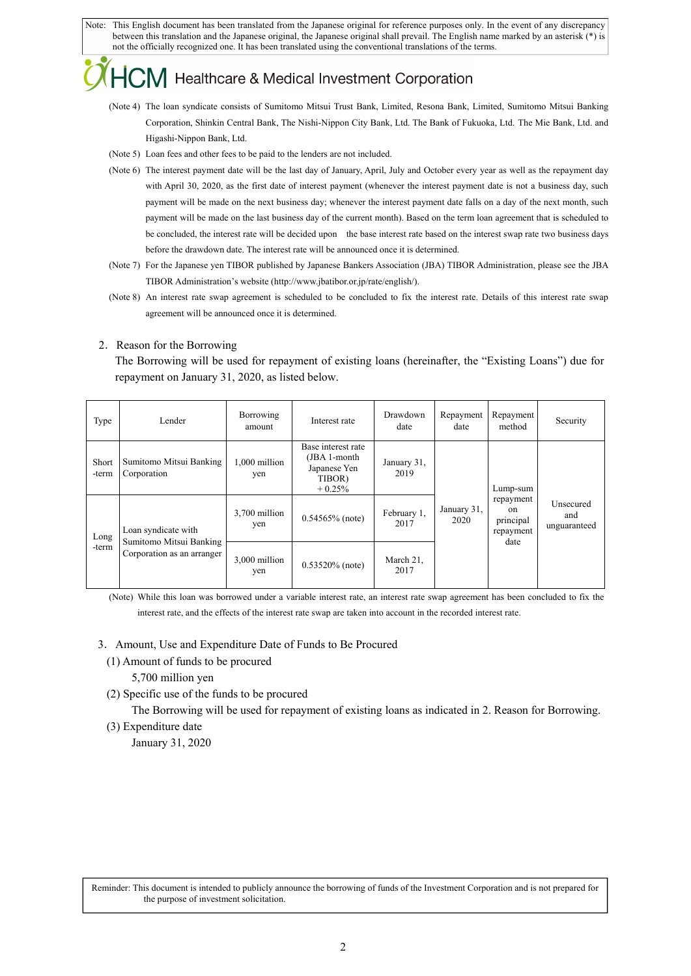Note: This English document has been translated from the Japanese original for reference purposes only. In the event of any discrepancy between this translation and the Japanese original, the Japanese original shall prevail. The English name marked by an asterisk (\*) is not the officially recognized one. It has been translated using the conventional translations of the terms.

# Healthcare & Medical Investment Corporation

- (Note 4) The loan syndicate consists of Sumitomo Mitsui Trust Bank, Limited, Resona Bank, Limited, Sumitomo Mitsui Banking Corporation, Shinkin Central Bank, The Nishi-Nippon City Bank, Ltd. The Bank of Fukuoka, Ltd. The Mie Bank, Ltd. and Higashi-Nippon Bank, Ltd.
- (Note 5) Loan fees and other fees to be paid to the lenders are not included.
- (Note 6) The interest payment date will be the last day of January, April, July and October every year as well as the repayment day with April 30, 2020, as the first date of interest payment (whenever the interest payment date is not a business day, such payment will be made on the next business day; whenever the interest payment date falls on a day of the next month, such payment will be made on the last business day of the current month). Based on the term loan agreement that is scheduled to be concluded, the interest rate will be decided upon the base interest rate based on the interest swap rate two business days before the drawdown date. The interest rate will be announced once it is determined.
- (Note 7) For the Japanese yen TIBOR published by Japanese Bankers Association (JBA) TIBOR Administration, please see the JBA TIBOR Administration's website (http://www.jbatibor.or.jp/rate/english/).
- (Note 8) An interest rate swap agreement is scheduled to be concluded to fix the interest rate. Details of this interest rate swap agreement will be announced once it is determined.

### 2.Reason for the Borrowing

The Borrowing will be used for repayment of existing loans (hereinafter, the "Existing Loans") due for repayment on January 31, 2020, as listed below.

| Type           | Lender                                                                       | Borrowing<br>amount  | Interest rate                                                            | Drawdown<br>date    | Repayment<br>date   | Repayment<br>method                                            | Security                         |
|----------------|------------------------------------------------------------------------------|----------------------|--------------------------------------------------------------------------|---------------------|---------------------|----------------------------------------------------------------|----------------------------------|
| Short<br>-term | Sumitomo Mitsui Banking<br>Corporation                                       | 1,000 million<br>yen | Base interest rate<br>(JBA 1-month<br>Japanese Yen<br>TIBOR)<br>$+0.25%$ | January 31,<br>2019 |                     | Lump-sum<br>repayment<br>on.<br>principal<br>repayment<br>date | Unsecured<br>and<br>unguaranteed |
| Long<br>-term  | Loan syndicate with<br>Sumitomo Mitsui Banking<br>Corporation as an arranger | 3,700 million<br>yen | $0.54565\%$ (note)                                                       | February 1,<br>2017 | January 31,<br>2020 |                                                                |                                  |
|                |                                                                              | 3,000 million<br>yen | $0.53520\%$ (note)                                                       | March 21,<br>2017   |                     |                                                                |                                  |

(Note) While this loan was borrowed under a variable interest rate, an interest rate swap agreement has been concluded to fix the interest rate, and the effects of the interest rate swap are taken into account in the recorded interest rate.

- 3.Amount, Use and Expenditure Date of Funds to Be Procured
	- (1) Amount of funds to be procured 5,700 million yen
	- (2) Specific use of the funds to be procured

The Borrowing will be used for repayment of existing loans as indicated in 2. Reason for Borrowing.

(3) Expenditure date January 31, 2020

Reminder: This document is intended to publicly announce the borrowing of funds of the Investment Corporation and is not prepared for the purpose of investment solicitation.